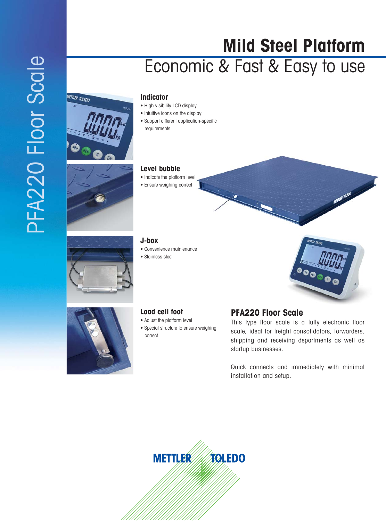## **Mild Steel Platform** Economic & Fast & Easy to use

# **METTLER TOLEDO**





#### **Indicator**

- High visibility LCD display
- Intuitive icons on the display
- Support different application-specific requirements

#### **Level bubble**

- Indicate the platform level
- Ensure weighing correct

### **J-box**

- Convenience maintenance
- Stainless steel



**RETTLER TOLEDO** 



#### **Load cell foot**

- Adjust the platform level
- Special structure to ensure weighing correct

#### **PFA220 Floor Scale**

This type floor scale is a fully electronic floor scale, ideal for freight consolidators, forwarders, shipping and receiving departments as well as startup businesses.

Quick connects and immediately with minimal installation and setup.